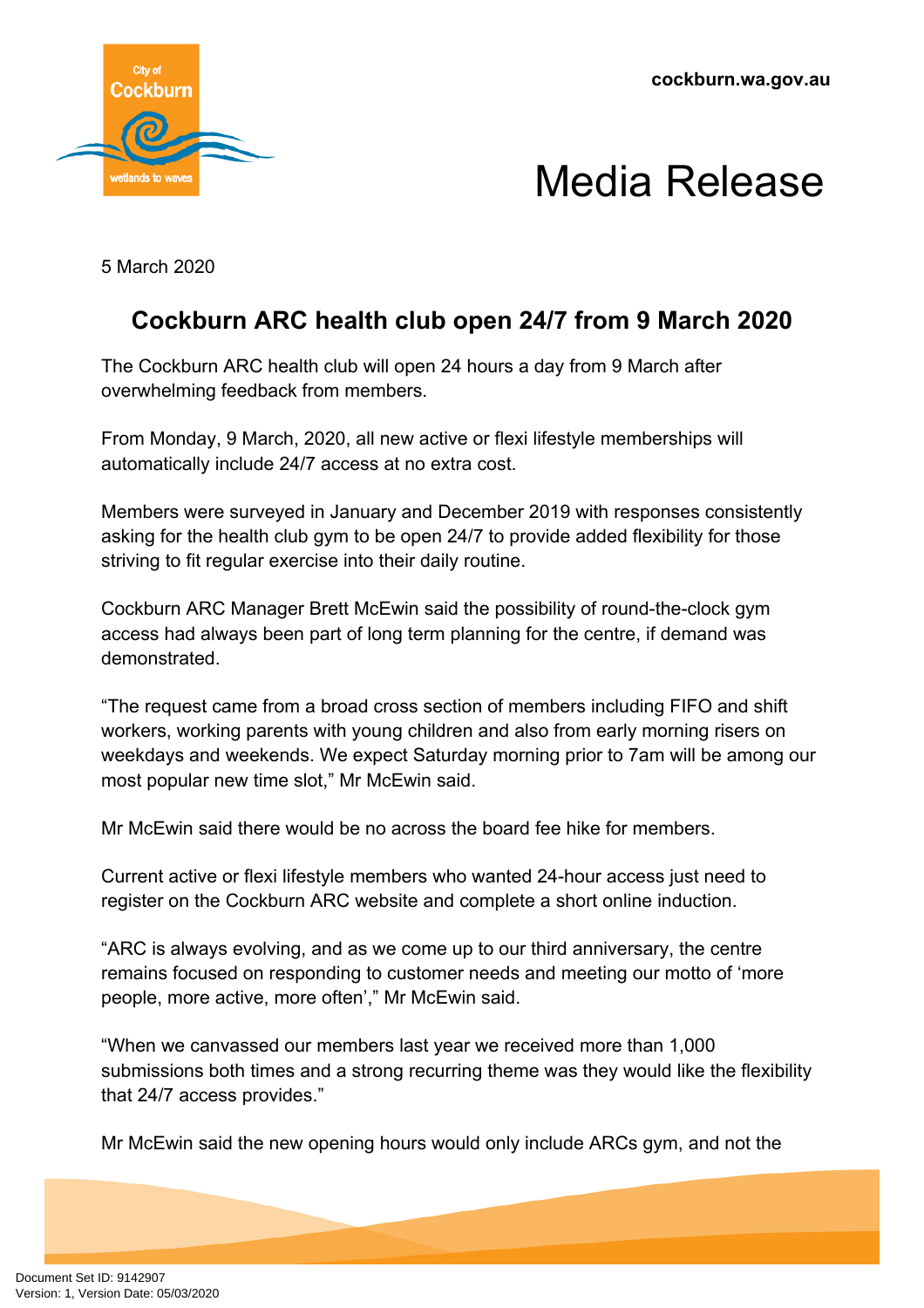

## Media Release

5 March 2020

## **Cockburn ARC health club open 24/7 from 9 March 2020**

The Cockburn ARC health club will open 24 hours a day from 9 March after overwhelming feedback from members.

From Monday, 9 March, 2020, all new active or flexi lifestyle memberships will automatically include 24/7 access at no extra cost.

Members were surveyed in January and December 2019 with responses consistently asking for the health club gym to be open 24/7 to provide added flexibility for those striving to fit regular exercise into their daily routine.

Cockburn ARC Manager Brett McEwin said the possibility of round-the-clock gym access had always been part of long term planning for the centre, if demand was demonstrated.

"The request came from a broad cross section of members including FIFO and shift workers, working parents with young children and also from early morning risers on weekdays and weekends. We expect Saturday morning prior to 7am will be among our most popular new time slot," Mr McEwin said.

Mr McEwin said there would be no across the board fee hike for members.

Current active or flexi lifestyle members who wanted 24-hour access just need to register on the Cockburn ARC website and complete a short online induction.

"ARC is always evolving, and as we come up to our third anniversary, the centre remains focused on responding to customer needs and meeting our motto of 'more people, more active, more often'," Mr McEwin said.

"When we canvassed our members last year we received more than 1,000 submissions both times and a strong recurring theme was they would like the flexibility that 24/7 access provides."

Mr McEwin said the new opening hours would only include ARCs gym, and not the